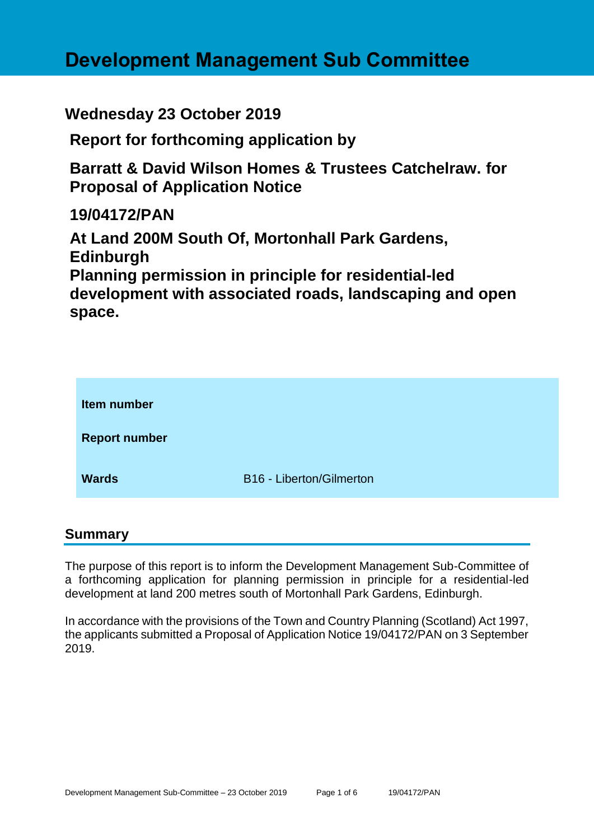# **Development Management Sub Committee**

**Wednesday 23 October 2019**

**Report for forthcoming application by**

**Barratt & David Wilson Homes & Trustees Catchelraw. for Proposal of Application Notice** 

**19/04172/PAN**

**At Land 200M South Of, Mortonhall Park Gardens, Edinburgh Planning permission in principle for residential-led development with associated roads, landscaping and open space.**

| Item number          |                          |
|----------------------|--------------------------|
| <b>Report number</b> |                          |
| <b>Wards</b>         | B16 - Liberton/Gilmerton |

## **Summary**

The purpose of this report is to inform the Development Management Sub-Committee of a forthcoming application for planning permission in principle for a residential-led development at land 200 metres south of Mortonhall Park Gardens, Edinburgh.

In accordance with the provisions of the Town and Country Planning (Scotland) Act 1997, the applicants submitted a Proposal of Application Notice 19/04172/PAN on 3 September 2019.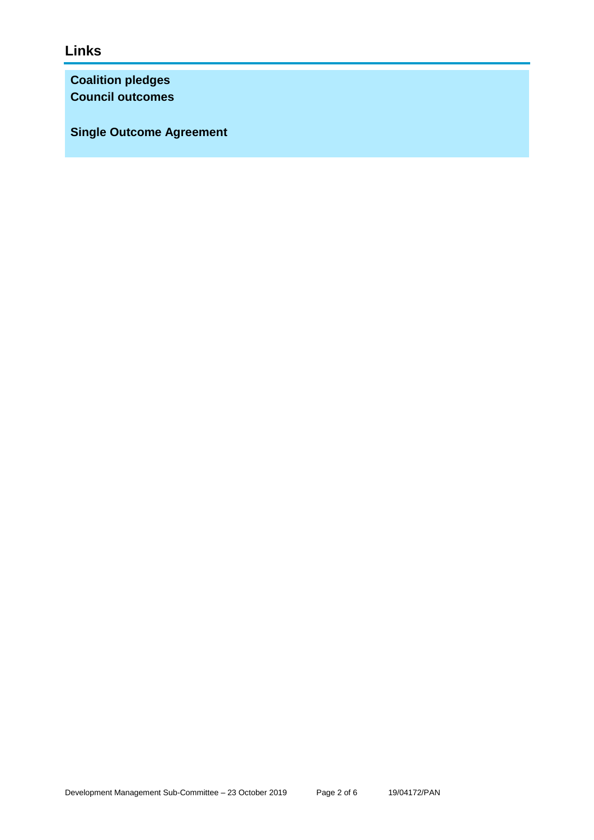# **Links**

**Coalition pledges Council outcomes**

**Single Outcome Agreement**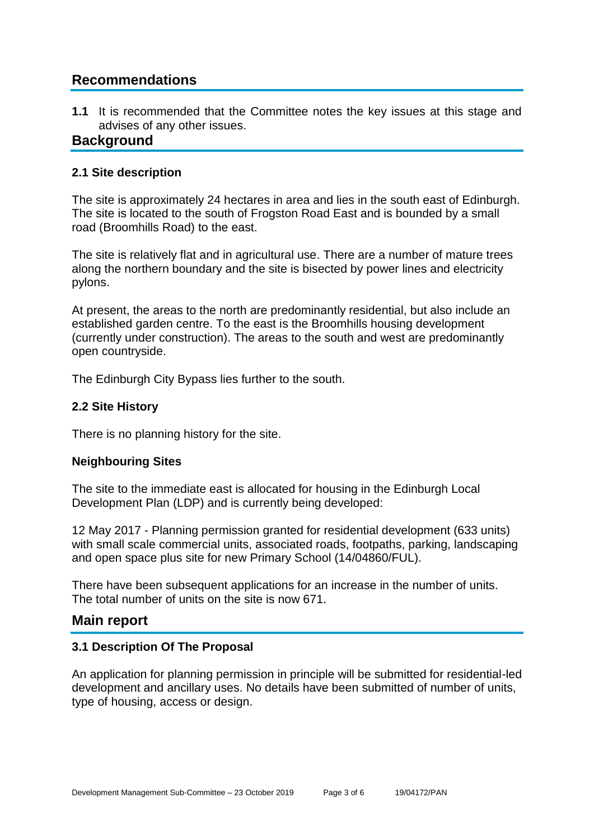# **Recommendations**

**1.1** It is recommended that the Committee notes the key issues at this stage and advises of any other issues.

## **Background**

#### **2.1 Site description**

The site is approximately 24 hectares in area and lies in the south east of Edinburgh. The site is located to the south of Frogston Road East and is bounded by a small road (Broomhills Road) to the east.

The site is relatively flat and in agricultural use. There are a number of mature trees along the northern boundary and the site is bisected by power lines and electricity pylons.

At present, the areas to the north are predominantly residential, but also include an established garden centre. To the east is the Broomhills housing development (currently under construction). The areas to the south and west are predominantly open countryside.

The Edinburgh City Bypass lies further to the south.

#### **2.2 Site History**

There is no planning history for the site.

#### **Neighbouring Sites**

The site to the immediate east is allocated for housing in the Edinburgh Local Development Plan (LDP) and is currently being developed:

12 May 2017 - Planning permission granted for residential development (633 units) with small scale commercial units, associated roads, footpaths, parking, landscaping and open space plus site for new Primary School (14/04860/FUL).

There have been subsequent applications for an increase in the number of units. The total number of units on the site is now 671.

### **Main report**

#### **3.1 Description Of The Proposal**

An application for planning permission in principle will be submitted for residential-led development and ancillary uses. No details have been submitted of number of units, type of housing, access or design.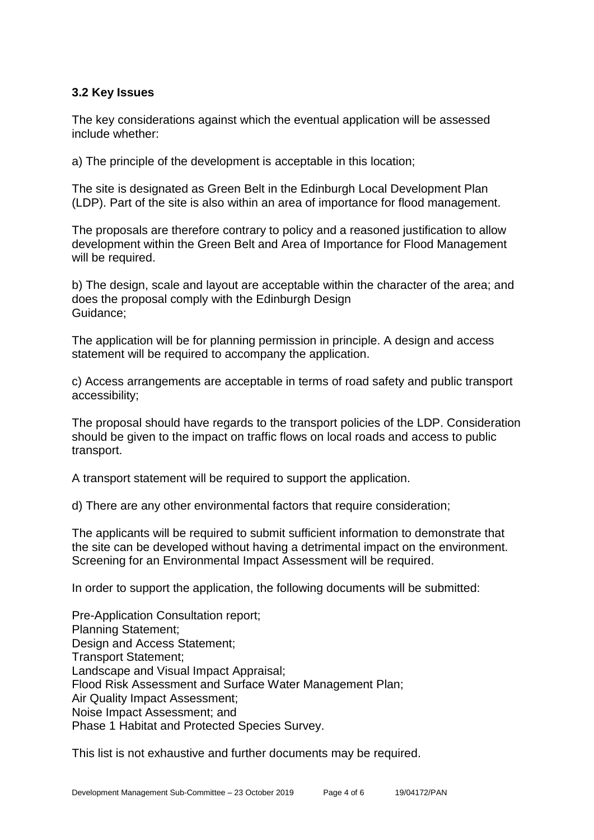#### **3.2 Key Issues**

The key considerations against which the eventual application will be assessed include whether:

a) The principle of the development is acceptable in this location;

The site is designated as Green Belt in the Edinburgh Local Development Plan (LDP). Part of the site is also within an area of importance for flood management.

The proposals are therefore contrary to policy and a reasoned justification to allow development within the Green Belt and Area of Importance for Flood Management will be required.

b) The design, scale and layout are acceptable within the character of the area; and does the proposal comply with the Edinburgh Design Guidance;

The application will be for planning permission in principle. A design and access statement will be required to accompany the application.

c) Access arrangements are acceptable in terms of road safety and public transport accessibility;

The proposal should have regards to the transport policies of the LDP. Consideration should be given to the impact on traffic flows on local roads and access to public transport.

A transport statement will be required to support the application.

d) There are any other environmental factors that require consideration;

The applicants will be required to submit sufficient information to demonstrate that the site can be developed without having a detrimental impact on the environment. Screening for an Environmental Impact Assessment will be required.

In order to support the application, the following documents will be submitted:

Pre-Application Consultation report; Planning Statement; Design and Access Statement; Transport Statement; Landscape and Visual Impact Appraisal; Flood Risk Assessment and Surface Water Management Plan; Air Quality Impact Assessment; Noise Impact Assessment; and Phase 1 Habitat and Protected Species Survey.

This list is not exhaustive and further documents may be required.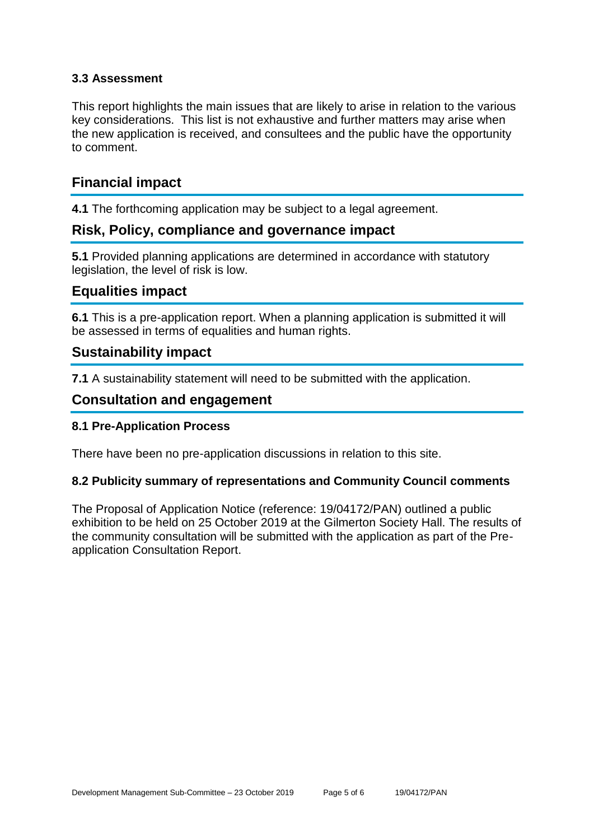#### **3.3 Assessment**

This report highlights the main issues that are likely to arise in relation to the various key considerations. This list is not exhaustive and further matters may arise when the new application is received, and consultees and the public have the opportunity to comment.

# **Financial impact**

**4.1** The forthcoming application may be subject to a legal agreement.

# **Risk, Policy, compliance and governance impact**

**5.1** Provided planning applications are determined in accordance with statutory legislation, the level of risk is low.

## **Equalities impact**

**6.1** This is a pre-application report. When a planning application is submitted it will be assessed in terms of equalities and human rights.

## **Sustainability impact**

**7.1** A sustainability statement will need to be submitted with the application.

## **Consultation and engagement**

#### **8.1 Pre-Application Process**

There have been no pre-application discussions in relation to this site.

#### **8.2 Publicity summary of representations and Community Council comments**

The Proposal of Application Notice (reference: 19/04172/PAN) outlined a public exhibition to be held on 25 October 2019 at the Gilmerton Society Hall. The results of the community consultation will be submitted with the application as part of the Preapplication Consultation Report.